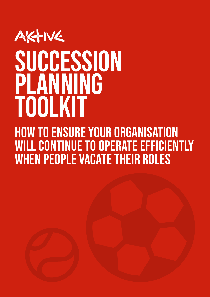# AKTIVE SUCCESSION PLANNING ToolkiT

How to ensure your organisation WILL CONTINUE TO OPERATE EFFICIENTLY when people vacate their roles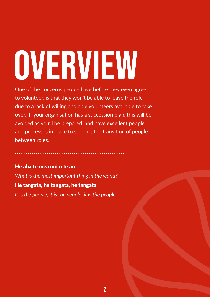# <span id="page-1-0"></span>OVERVIEW

One of the concerns people have before they even agree to volunteer, is that they won't be able to leave the role due to a lack of willing and able volunteers available to take over. If your organisation has a succession plan, this will be avoided as you'll be prepared, and have excellent people and processes in place to support the transition of people between roles.

He aha te mea nui o te ao

*What is the most important thing in the world?*

#### He tangata, he tangata, he tangata

*It is the people, it is the people, it is the people*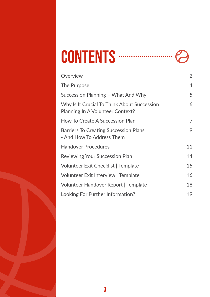#### CONTENTS ......... . . . . .

| Overview                                                                        | 2  |
|---------------------------------------------------------------------------------|----|
| The Purpose                                                                     | 4  |
| Succession Planning - What And Why                                              | 5  |
| Why Is It Crucial To Think About Succession<br>Planning In A Volunteer Context? | 6  |
| <b>How To Create A Succession Plan</b>                                          | 7  |
| <b>Barriers To Creating Succession Plans</b><br>- And How To Address Them       | 9  |
| <b>Handover Procedures</b>                                                      | 11 |
| <b>Reviewing Your Succession Plan</b>                                           | 14 |
| <b>Volunteer Exit Checklist   Template</b>                                      | 15 |
| Volunteer Exit Interview   Template                                             | 16 |
| Volunteer Handover Report   Template                                            | 18 |
| Looking For Further Information?                                                | 19 |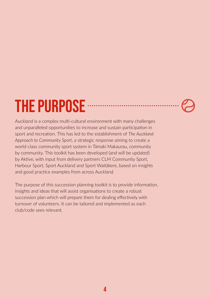## <span id="page-3-0"></span>THE PURPOSE

Auckland is a complex multi-cultural environment with many challenges and unparalleled opportunities to increase and sustain participation in sport and recreation. This has led to the establishment of *The Auckland Approach to Community Sport*, a strategic response aiming to create a world-class community sport system in Tāmaki Makaurau, community by community. This toolkit has been developed (and will be updated) by Aktive, with input from delivery partners CLM Community Sport, Harbour Sport, Sport Auckland and Sport Waitākere, based on insights and good practice examples from across Auckland.

The purpose of this succession planning toolkit is to provide information, insights and ideas that will assist organisations to create a robust succession plan which will prepare them for dealing effectively with turnover of volunteers. It can be tailored and implemented as each club/code sees relevant.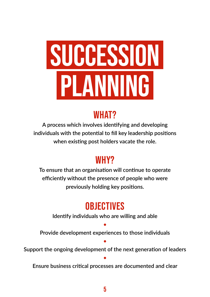# <span id="page-4-0"></span>SUCCESSION PLANNING

### WHAT?

**A process which involves identifying and developing individuals with the potential to fill key leadership positions when existing post holders vacate the role.**

#### WHY?

**To ensure that an organisation will continue to operate efficiently without the presence of people who were previously holding key positions.**

### **OBJECTIVES**

**Identify individuals who are willing and able**

**Provide development experiences to those individuals**

**•**

**Support the ongoing development of the next generation of leaders**

**•**

**•**

**Ensure business critical processes are documented and clear**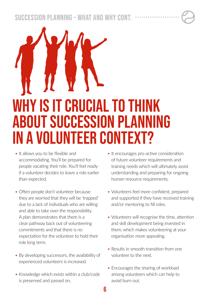<span id="page-5-0"></span>Succession Planning – What and Why cont.

# Why is it crucial to think about succession planning in a volunteer context?

- It allows you to be flexible and accommodating. You'll be prepared for people vacating their role. You'll feel ready if a volunteer decides to leave a role earlier than expected.
- Often people don't volunteer because they are worried that they will be 'trapped' due to a lack of individuals who are willing and able to take over the responsibility. A plan demonstrates that there is a clear pathway back out of volunteering commitments and that there is no expectation for the volunteer to hold their role long term.
- By developing successors, the availability of experienced volunteers is increased.
- Knowledge which exists within a club/code is preserved and passed on.
- It encourages pro-active consideration of future volunteer requirements and training needs which will ultimately assist understanding and preparing for ongoing human resource requirements.
- Volunteers feel more confident, prepared and supported if they have received training and/or mentoring to fill roles.
- Volunteers will recognise the time, attention and skill development being invested in them, which makes volunteering at your organisation more appealing.
- Results in smooth transition from one volunteer to the next.
- Encourages the sharing of workload among volunteers which can help to avoid burn out.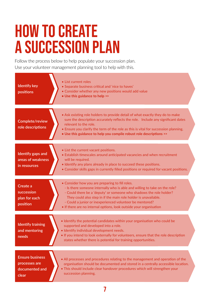## <span id="page-6-0"></span>**HOW TO CREATE** a succession plan

Follow the process below to help populate your succession plan. Use your volunteer management planning tool to help with this.

| <b>Identify key</b><br>positions                                   | • List current roles<br>• Separate business critical and 'nice to haves'<br>• Consider whether any new positions would add value<br>• Use this guidance to help >>                                                                                                                                                                                                                                        |
|--------------------------------------------------------------------|-----------------------------------------------------------------------------------------------------------------------------------------------------------------------------------------------------------------------------------------------------------------------------------------------------------------------------------------------------------------------------------------------------------|
| Complete/review<br>role descriptions                               | • Ask existing role holders to provide detail of what exactly they do to make<br>sure the description accurately reflects the role. Include any significant dates<br>relevant to the role.<br>• Ensure you clarify the term of the role as this is vital for succession planning.<br>• Use this guidance to help you compile robust role descriptions >>                                                  |
| Identify gaps and<br>areas of weakness<br>in resources             | • List the current vacant positions.<br>• Establish timescales around anticipated vacancies and when recruitment<br>will be required.<br>• Identify any plans already in place to succeed these positions.<br>• Consider skills gaps in currently filled positions or required for vacant positions.                                                                                                      |
| Create a<br>succession<br>plan for each<br>position                | • Consider how you are preparing to fill roles.<br>- Is there someone internally who is able and willing to take on the role?<br>- Could there be a 'deputy' or someone who shadows the role holder?<br>They could also step in if the main role holder is unavailable.<br>- Could a junior or inexperienced volunteer be mentored?<br>. If there are no internal options, look outside your organisation |
| <b>Identify training</b><br>and mentoring<br>needs                 | . Identify the potential candidates within your organisation who could be<br>supported and developed into a role.<br>· Identify individual development needs.<br>. If you intend to look externally for volunteers, ensure that the role description<br>states whether there is potential for training opportunities.                                                                                     |
| <b>Ensure business</b><br>processes are<br>documented and<br>clear | • All processes and procedures relating to the management and operation of the<br>organisation should be documented and stored in a centrally accessible location.<br>. This should include clear handover procedures which will strengthen your<br>succession planning.                                                                                                                                  |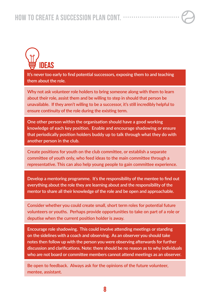

**It's never too early to find potential successors, exposing them to and teaching them about the role.**

**Why not ask volunteer role holders to bring someone along with them to learn about their role, assist them and be willing to step in should that person be unavailable. If they aren't willing to be a successor, it's still incredibly helpful to ensure continuity of the role during the existing term.**

**One other person within the organisation should have a good working knowledge of each key position. Enable and encourage shadowing or ensure that periodically position holders buddy up to talk through what they do with another person in the club.** 

**Create positions for youth on the club committee, or establish a separate committee of youth only, who feed ideas to the main committee through a representative. This can also help young people to gain committee experience.**

**Develop a mentoring programme. It's the responsibility of the mentee to find out everything about the role they are learning about and the responsibility of the mentor to share all their knowledge of the role and be open and approachable.**

**Consider whether you could create small, short term roles for potential future volunteers or youths. Perhaps provide opportunities to take on part of a role or deputise when the current position holder is away.** 

**Encourage role shadowing. This could involve attending meetings or standing on the sidelines with a coach and observing. As an observer you should take notes then follow up with the person you were observing afterwards for further discussion and clarifications. Note: there should be no reason as to why individuals who are not board or committee members cannot attend meetings as an observer.** 

**Be open to feedback. Always ask for the opinions of the future volunteer, mentee, assistant.**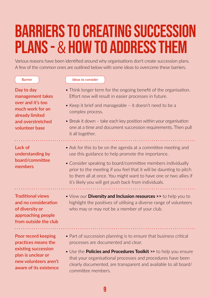## <span id="page-8-0"></span>Barriers to creating succession plans - & how to address them

Various reasons have been identified around why organisations don't create succession plans. A few of the common ones are outlined below with some ideas to overcome these barriers.

#### Barrier **Ideas** to consider

- **Day to day management takes over and it's too much work for an already limited and overstretched volunteer base**
- Think longer term for the ongoing benefit of the organisation. Effort now will result in easier processes in future.
- Keep it brief and manageable it doesn't need to be a complex process.
- Break it down take each key position within your organisation one at a time and document succession requirements. Then pull it all together.

#### **Lack of understanding by board/committee members**

- Ask for this to be on the agenda at a committee meeting and use this guidance to help promote the importance.
- Consider speaking to board/committee members individually prior to the meeting if you feel that it will be daunting to pitch to them all at once. You might want to have one or two allies if it's likely you will get push back from individuals.

**Traditional views and no consideration of diversity or approaching people from outside the club**

.<br>. . . . . . . . . . . . . . . .

**Poor record keeping practices means the existing succession plan is unclear or new volunteers aren't aware of its existence**

- View our **[Diversity and Inclusion resources >>](https://aktive.org.nz/resource-hub/?category=diversity-and-inclusion)** to help you to highlight the positives of utilising a diverse range of volunteers who may or may not be a member of your club.
- Part of succession planning is to ensure that business critical processes are documented and clear.
- Use the **[Policies and Procedures Toolkit](https://aktive.org.nz/media/4xedolrk/policies-procedures-toolkit.pdf) >>** to help you ensure that your organisational processes and procedures have been clearly documented, are transparent and available to all board/ committee members.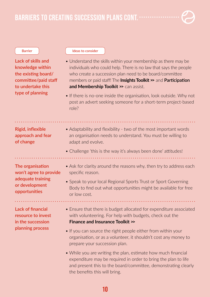BARRIERS TO CREATING SUCCESSION PLANS CONT. .................

**Lack of skills and knowledge within the existing board/ committee/paid staff to undertake this type of planning** 

#### Barrier **Ideas** to consider

- Understand the skills within your membership as there may be individuals who could help. There is no law that says the people who create a succession plan need to be board/committee members or paid staff! Th[e](https://aktive.org.nz/sector-development/managing-your-organisation/volunteer-management/) **[Insights Toolkit >>](https://aktive.org.nz/media/nuxnsrtb/insights-research-toolkit.pdf)** and **Participation [and Membership Toolkit >>](https://aktive.org.nz/media/wsdjs4v3/participation-membership-toolkit.pdf)** can assist.
- If there is no-one inside the organisation, look outside. Why not post an advert seeking someone for a short-term project-based role?

**Rigid, inflexible approach and fear of change**

- Adaptability and flexibility two of the most important words an organisation needs to understand. You must be willing to adapt and evolve.
- Challenge 'this is the way it's always been done' attitudes!

**The organisation won't agree to provide adequate training or development opportunities**

- Ask for clarity around the reasons why, then try to address each specific reason.
- Speak to your local Regional Sports Trust or Sport Governing Body to find out what opportunities might be available for free or low cost.

**Lack of financial resource to invest in the succession planning process** 

- Ensure that there is budget allocated for expenditure associated with volunteering. For help with budgets, check out the **[Finance and Insurance Toolkit >>](https://aktive.org.nz/media/skapjtoi/finance-insurance-toolkit.pdf)**
- If you can source the right people either from within your organisation, or as a volunteer, it shouldn't cost any money to prepare your succession plan.
- While you are writing the plan, estimate how much financial expenditure may be required in order to bring the plan to life and present this to the board/committee, demonstrating clearly the benefits this will bring.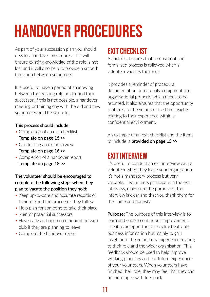## <span id="page-10-0"></span>Handover Procedures

As part of your succession plan you should develop handover procedures. This will ensure existing knowledge of the role is not lost and it will also help to provide a smooth transition between volunteers.

It is useful to have a period of shadowing between the existing role holder and their successor. If this is not possible, a handover meeting or training day with the old and new volunteer would be valuable.

#### **This process should include:**

- Completion of an exit checklist **[Template on page 15](#page-14-0) >>**
- Conducting an exit interview **[Template on page 16](#page-15-0) >>**
- Completion of a handover report **[Template on page 18](#page-17-0) >>**

#### **The volunteer should be encouraged to complete the following steps when they plan to vacate the position they hold:**

- Keep up-to-date and accurate records of their role and the processes they follow
- Help plan for someone to take their place
- Mentor potential successors
- Have early and open communication with club if they are planning to leave
- Complete the handover report

#### EXIT CHECKLIST

A checklist ensures that a consistent and formalised process is followed when a volunteer vacates their role.

It provides a reminder of procedural documentation or materials, equipment and organisational property which needs to be returned. It also ensures that the opportunity is offered to the volunteer to share insights relating to their experience within a confidential environment.

An example of an exit checklist and the items to include is **[provided on page 15](#page-14-0) >>**

#### EXIT INTERVIEW

It's useful to conduct an exit interview with a volunteer when they leave your organisation. It's not a mandatory process but very valuable. If volunteers participate in the exit interview, make sure the purpose of the interview is clear and that you thank them for their time and honesty.

**Purpose:** The purpose of this interview is to learn and enable continuous improvement. Use it as an opportunity to extract valuable business information but mainly to gain insight into the volunteers' experience relating to their role and the wider organisation. This feedback should be used to help improve working practices and the future experiences of your volunteers. When volunteers have finished their role, they may feel that they can be more open with feedback.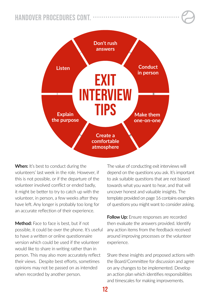#### Handover Procedures cont.



**When:** It's best to conduct during the volunteers' last week in the role. However, if this is not possible, or if the departure of the volunteer involved conflict or ended badly, it might be better to try to catch up with the volunteer, in person, a few weeks after they have left. Any longer is probably too long for an accurate reflection of their experience.

**Method:** Face to face is best, but if not possible, it could be over the phone. It's useful to have a written or online questionnaire version which could be used if the volunteer would like to share in writing rather than in person. This may also more accurately reflect their views. Despite best efforts, sometimes opinions may not be passed on as intended when recorded by another person.

The value of conducting exit interviews will depend on the questions you ask. It's important to ask suitable questions that are not biased towards what you want to hear, and that will uncover honest and valuable insights. The template provided on page 16 contains examples of questions you might want to consider asking.

**Follow Up:** Ensure responses are recorded then evaluate the answers provided. Identify any action items from the feedback received around improving processes or the volunteer experience.

Share these insights and proposed actions with the Board/Committee for discussion and agree on any changes to be implemented. Develop an action plan which identifies responsibilities and timescales for making improvements.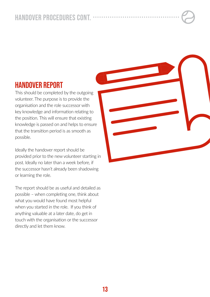#### Handover Procedures cont.

#### HANDOVER REPORT

This should be completed by the outgoing volunteer. The purpose is to provide the organisation and the role successor with key knowledge and information relating to the position. This will ensure that existing knowledge is passed on and helps to ensure that the transition period is as smooth as possible.

Ideally the handover report should be provided prior to the new volunteer starting in post. Ideally no later than a week before, if the successor hasn't already been shadowing or learning the role.

The report should be as useful and detailed as possible – when completing one, think about what you would have found most helpful when you started in the role. If you think of anything valuable at a later date, do get in touch with the organisation or the successor directly and let them know.

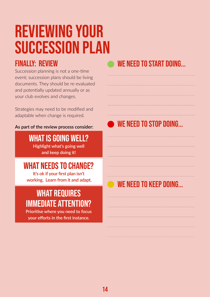## <span id="page-13-0"></span>Reviewing your succession plan

#### FINALLY: REVIEW

Succession planning is not a one-time event; succession plans should be living documents. They should be re-evaluated and potentially updated annually or as your club evolves and changes.

Strategies may need to be modified and adaptable when change is required.

#### **As part of the review process consider:**

WHAT IS GOING WELL? **Highlight what's going well** 

**and keep doing it!**

#### WHAT NEEDS TO CHANGE?

**It's ok if your first plan isn't working. Learn from it and adapt.** 

#### WHAT REQUIRES IMMEDIATE ATTENTION?

**Prioritise where you need to focus your efforts in the first instance.**

#### WE NEED TO START DOING...

WE NEED TO STOP DOING...

#### WE NEED TO KEEP DOING...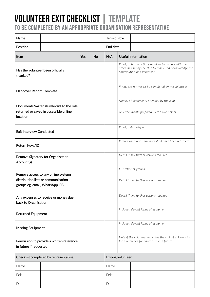#### <span id="page-14-0"></span>Volunteer Exit checklist | TEMPLATE TO BE COMPLETED BY AN APPROPRIATE ORGANISATION REPRESENTATIVE

| Name                                          |                                                                                    | Term of role                                                                                          |    |                                                                                                                                               |                                                                |                           |
|-----------------------------------------------|------------------------------------------------------------------------------------|-------------------------------------------------------------------------------------------------------|----|-----------------------------------------------------------------------------------------------------------------------------------------------|----------------------------------------------------------------|---------------------------|
| Position                                      |                                                                                    | End date                                                                                              |    |                                                                                                                                               |                                                                |                           |
| Item                                          |                                                                                    | Yes                                                                                                   | No | N/A                                                                                                                                           |                                                                | <b>Useful Information</b> |
| Has the volunteer been officially<br>thanked? |                                                                                    |                                                                                                       |    | If not, note the actions required to comply with the<br>processes set by the club to thank and acknowledge the<br>contribution of a volunteer |                                                                |                           |
| <b>Handover Report Complete</b>               |                                                                                    |                                                                                                       |    | If not, ask for this to be completed by the volunteer                                                                                         |                                                                |                           |
| location                                      | Documents/materials relevant to the role<br>returned or saved in accessible online |                                                                                                       |    | Names of documents provided by the club<br>Any documents prepared by the role holder                                                          |                                                                |                           |
| <b>Exit Interview Conducted</b>               |                                                                                    |                                                                                                       |    |                                                                                                                                               | If not, detail why not                                         |                           |
| Return Keys/ID                                |                                                                                    |                                                                                                       |    |                                                                                                                                               | If more than one item, note if all have been returned          |                           |
| Account(s)                                    | Remove Signatory for Organisation                                                  |                                                                                                       |    |                                                                                                                                               | Detail if any further actions required                         |                           |
| groups eg. email, WhatsApp, FB                | Remove access to any online systems,<br>distribution lists or communication        |                                                                                                       |    |                                                                                                                                               | List relevant groups<br>Detail if any further actions required |                           |
| back to Organisation                          | Any expenses to receive or money due                                               |                                                                                                       |    |                                                                                                                                               | Detail if any further actions required                         |                           |
| <b>Returned Equipment</b>                     |                                                                                    |                                                                                                       |    |                                                                                                                                               | Include relevant items of equipment                            |                           |
| <b>Missing Equipment</b>                      |                                                                                    |                                                                                                       |    |                                                                                                                                               | Include relevant items of equipment                            |                           |
| in future if requested                        | Permission to provide a written reference                                          | Note if the volunteer indicates they might ask the club<br>for a reference for another role in future |    |                                                                                                                                               |                                                                |                           |
| Checklist completed by representative:        |                                                                                    | Exiting volunteer:                                                                                    |    |                                                                                                                                               |                                                                |                           |
| Name                                          |                                                                                    | Name                                                                                                  |    |                                                                                                                                               |                                                                |                           |
| Role                                          |                                                                                    | Role                                                                                                  |    |                                                                                                                                               |                                                                |                           |
| Date                                          |                                                                                    | Date                                                                                                  |    |                                                                                                                                               |                                                                |                           |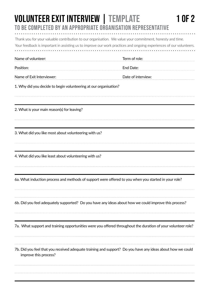#### <span id="page-15-0"></span>TO BE COMPLETED BY AN APPROPRIATE ORGANISATION REPRESENTATIVE Volunteer Exit Interview | TEMPLATE 1 of 2

|                                                                  | Thank you for your valuable contribution to our organisation. We value your commitment, honesty and time.<br>Your feedback is important in assisting us to improve our work practices and ongoing experiences of our volunteers. |
|------------------------------------------------------------------|----------------------------------------------------------------------------------------------------------------------------------------------------------------------------------------------------------------------------------|
| Name of volunteer:                                               | Term of role:                                                                                                                                                                                                                    |
| Position:                                                        | End Date:                                                                                                                                                                                                                        |
| Name of Exit Interviewer:                                        | Date of interview:                                                                                                                                                                                                               |
| 1. Why did you decide to begin volunteering at our organisation? |                                                                                                                                                                                                                                  |
| 2. What is your main reason(s) for leaving?                      |                                                                                                                                                                                                                                  |
| 3. What did you like most about volunteering with us?            |                                                                                                                                                                                                                                  |
| 4. What did you like least about volunteering with us?           |                                                                                                                                                                                                                                  |
|                                                                  | 6a. What induction process and methods of support were offered to you when you started in your role?                                                                                                                             |
|                                                                  | 6b. Did you feel adequately supported? Do you have any ideas about how we could improve this process?                                                                                                                            |
|                                                                  | 7a. What support and training opportunities were you offered throughout the duration of your volunteer role?                                                                                                                     |
| improve this process?                                            | 7b. Did you feel that you received adequate training and support? Do you have any ideas about how we could                                                                                                                       |
|                                                                  |                                                                                                                                                                                                                                  |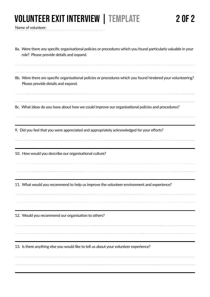### VOLUNTEER EXIT INTERVIEW | TEMPLATE 2 OF 2

Name of volunteer:

| 8a. Were there any specific organisational policies or procedures which you found particularly valuable in your<br>role? Please provide details and expand. |
|-------------------------------------------------------------------------------------------------------------------------------------------------------------|
| 8b. Were there are specific organisational policies or procedures which you found hindered your volunteering?<br>Please provide details and expand.         |
| 8c. What ideas do you have about how we could improve our organisational policies and procedures?                                                           |
| 9. Did you feel that you were appreciated and appropriately acknowledged for your efforts?                                                                  |
| 10. How would you describe our organisational culture?                                                                                                      |
| 11. What would you recommend to help us improve the volunteer environment and experience?                                                                   |
| 12. Would you recommend our organisation to others?                                                                                                         |
| 13. Is there anything else you would like to tell us about your volunteer experience?                                                                       |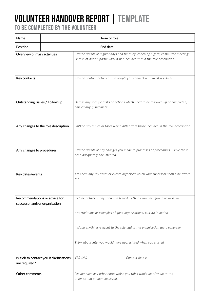## <span id="page-17-0"></span>Volunteer Handover Report | TEMPLATE

TO BE COMPLETED BY THE VOLUNTEER

| Name                                                           |                                           |                                                                                                               | Term of role                                                          |                                                                                                                                                                  |
|----------------------------------------------------------------|-------------------------------------------|---------------------------------------------------------------------------------------------------------------|-----------------------------------------------------------------------|------------------------------------------------------------------------------------------------------------------------------------------------------------------|
| Position                                                       |                                           |                                                                                                               | End date                                                              |                                                                                                                                                                  |
|                                                                | Overview of main activities               |                                                                                                               |                                                                       | Provide details of regular days and times eg, coaching nights; committee meetings<br>Details of duties, particularly if not included within the role description |
| Key contacts                                                   |                                           |                                                                                                               | Provide contact details of the people you connect with most regularly |                                                                                                                                                                  |
| Outstanding Issues / Follow up                                 |                                           | Details any specific tasks or actions which need to be followed up or completed,<br>particularly if imminent  |                                                                       |                                                                                                                                                                  |
|                                                                | Any changes to the role description       | Outline any duties or tasks which differ from those included in the role description                          |                                                                       |                                                                                                                                                                  |
| Any changes to procedures                                      |                                           | Provide details of any changes you made to processes or procedures. Have these<br>been adequately documented? |                                                                       |                                                                                                                                                                  |
| Key dates/events                                               |                                           | Are there any key dates or events organised which your successor should be aware<br>of?                       |                                                                       |                                                                                                                                                                  |
| Recommendations or advice for<br>successor and/or organisation |                                           | Include details of any tried and tested methods you have found to work well                                   |                                                                       |                                                                                                                                                                  |
|                                                                |                                           | Any traditions or examples of good organisational culture in action                                           |                                                                       |                                                                                                                                                                  |
|                                                                |                                           | Include anything relevant to the role and to the organisation more generally                                  |                                                                       |                                                                                                                                                                  |
|                                                                |                                           | Think about intel you would have appreciated when you started                                                 |                                                                       |                                                                                                                                                                  |
| are required?                                                  | Is it ok to contact you if clarifications | YES /NO                                                                                                       |                                                                       | Contact details:                                                                                                                                                 |
| Other comments                                                 |                                           | Do you have any other notes which you think would be of value to the<br>organisation or your successor?       |                                                                       |                                                                                                                                                                  |